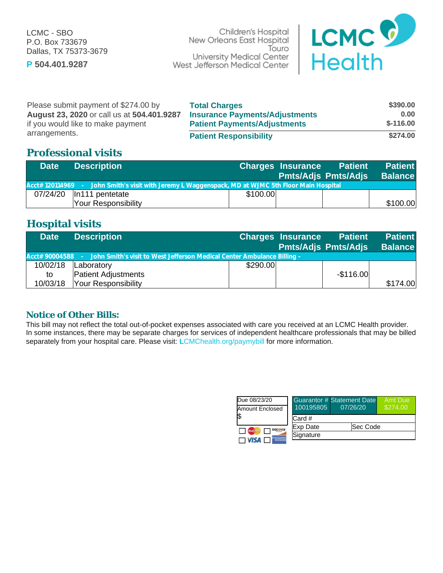P.O. Box 733679 Dallas, TX 75373-3679

Children's Hospital LCMC - SBO Touro University Medical Center **P 504.401.9287**



| Please submit payment of \$274.00 by       | <b>Total Charges</b>                  | \$390.00   |
|--------------------------------------------|---------------------------------------|------------|
| August 23, 2020 or call us at 504.401.9287 | <b>Insurance Payments/Adjustments</b> | 0.00       |
| if you would like to make payment          | <b>Patient Payments/Adjustments</b>   | $$-116.00$ |
| arrangements.                              | <b>Patient Responsibility</b>         | \$274.00   |

### **Professional visits**

| <b>Date</b> | <b>Description</b>                                                                                 |          | Charges Insurance Patient<br><b>Pmts/Adjs Pmts/Adjs Balance</b> | <b>Patient</b> |
|-------------|----------------------------------------------------------------------------------------------------|----------|-----------------------------------------------------------------|----------------|
|             | Acct# 120114969 - John Smith's visit with Jeremy L Waggenspack, MD at WJMC 5th Floor Main Hospital |          |                                                                 |                |
| 07/24/20    | In111 pentetate                                                                                    | \$100.00 |                                                                 |                |
|             | Your Responsibility                                                                                |          |                                                                 | \$100.00       |

## **Hospital visits**

| <b>Date</b> | <b>Description</b>                                                                       |          | <b>Charges Insurance Patient</b><br>Pmts/Adjs Pmts/Adjs Balance | <b>Patient</b> |
|-------------|------------------------------------------------------------------------------------------|----------|-----------------------------------------------------------------|----------------|
|             | Acct# 90004588 - John Smith's visit to West Jefferson Medical Center Ambulance Billing - |          |                                                                 |                |
| 10/02/18    | Laboratory                                                                               | \$290.00 |                                                                 |                |
| to          | <b>Patient Adjustments</b>                                                               |          | $-$116.00$                                                      |                |
| 10/03/18    | Your Responsibility                                                                      |          |                                                                 | \$174.00       |

#### **Notice of Other Bills:**

This bill may not reflect the total out-of-pocket expenses associated with care you received at an LCMC Health provider. In some instances, there may be separate charges for services of independent healthcare professionals that may be billed separately from your hospital care. Please visit: **[L](https://www.lcmchealth.org/pay-my-bill)**CMChealth.org/paymybill for more information.

| Due 08/23/20                                |           | <b>Guarantor # Statement Date</b> | Amt Due  |
|---------------------------------------------|-----------|-----------------------------------|----------|
| Amount Enclosed                             | 100195805 | 07/26/20                          | \$274.00 |
| 1\$                                         | Card #    |                                   |          |
| <b>DISCOVER</b><br><b>MasterCard</b>        | Exp Date  | lSec Code                         |          |
| <b>MITRICAN</b><br>EXPERIENC<br><b>VISA</b> | Signature |                                   |          |
|                                             |           |                                   |          |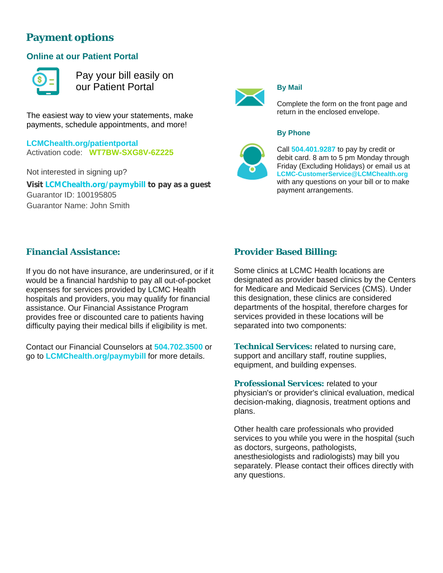# **Payment options**

### **Online at our Patient Portal**



Pay your bill easily on our Patient Portal

The easiest way to view your statements, make payments, schedule appointments, and more!

**LCMChealth.org/patientportal** Activation code: **WT7BW-SXG8V-6Z225**

Not interested in signing up? **Visit LCMChealth.org/paymybill to pay asa guest** Guarantor ID: 100195805 Guarantor Name: John Smith



#### **By Mail**

Complete the form on the front page and return in the enclosed envelope.

#### **By Phone**



Call **504.401.9287** to pay by credit or debit card. 8 am to 5 pm Monday through Friday (Excluding Holidays) or email us at **LCMC-CustomerService@LCMChealth.org** with any questions on your bill or to make payment arrangements.

#### **Financial Assistance:**

If you do not have insurance, are underinsured, or if it would be a financial hardship to pay all out-of-pocket expenses for services provided by LCMC Health hospitals and providers, you may qualify for financial assistance. Our Financial Assistance Program provides free or discounted care to patients having difficulty paying their medical bills if eligibility is met.

Contact our Financial Counselors at **504.702.3500** or go to **[LCMChealth.org/paymybill](https://www.lcmchealth.org/pay-my-bill)** for more details. **Support and ancillary staff, routine supplies,** 

### **Provider Based Billing:**

Some clinics at LCMC Health locations are designated as provider based clinics by the Centers for Medicare and Medicaid Services (CMS). Under this designation, these clinics are considered departments of the hospital, therefore charges for services provided in these locations will be separated into two components:

equipment, and building expenses.

**Professional Services:** related to your physician's or provider's clinical evaluation, medical decision-making, diagnosis, treatment options and plans.

Other health care professionals who provided services to you while you were in the hospital (such as doctors, surgeons, pathologists, anesthesiologists and radiologists) may bill you separately. Please contact their offices directly with any questions.